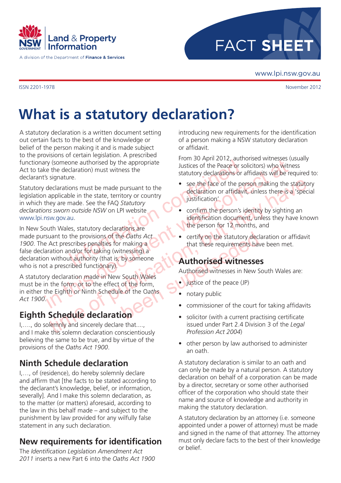

A division of the Department of Finance & Services



www.lpi.nsw.gov.au

## **What is a statutory declaration?**

A statutory declaration is a written document setting out certain facts to the best of the knowledge or belief of the person making it and is made subject to the provisions of certain legislation. A prescribed functionary (someone authorised by the appropriate Act to take the declaration) must witness the declarant's signature.

Statutory declarations must be made pursuant to the legislation applicable in the state, territory or country in which they are made. See the FAQ *Statutory declarations sworn outside NSW* on LPI website [www.lpi.nsw.gov.au.](http://www.lpi.nsw.gov.au)

one authorised by the appropriate<br>
claration) must witness the<br>
re.<br>
ons must be made pursuant to the<br>
le in the state, territory or country<br>
and the state end of the person's intervention of a<br>
le in the state, territory In the declaration mate in New South Males of the Pace or solicitors) who withered the declaration must withess the<br>
destructions was continued at the attention of the Pace or solicitors) who withered<br>
declarations must be Expectantion smutrice the material of the public declaration of the set of the person making the statutory<br>
the state, territory or country<br>
the value of the active confirm the person's identification<br>
to the publication o Been Sacrify on the statutory declared making a<br>thessing) a<br>by someone<br>South Wales<br>Authorised witnesses in New South Wales<br>of the form,<br>e of the Oaths<br>Commissioner of the court for a commissioner of the court for<br>Solicitor In New South Wales, statutory declarations are made pursuant to the provisions of the *Oaths Act 1900*. The Act prescribes penalties for making a false declaration and/or for taking (witnessing) a declaration without authority (that is, by someone who is not a prescribed functionary).

A statutory declaration made in New South Wales must be in the form, or to the effect of the form, in either the Eighth or Ninth Schedule of the O*aths Act 1900*.

## **Eighth Schedule declaration**

I,…., do solemnly and sincerely declare that...., and I make this solemn declaration conscientiously believing the same to be true, and by virtue of the provisions of the *Oaths Act 1900*.

## **Ninth Schedule declaration**

I,…, of (residence), do hereby solemnly declare and affirm that [the facts to be stated according to the declarant's knowledge, belief, or information, severally]. And I make this solemn declaration, as to the matter (or matters) aforesaid, according to the law in this behalf made – and subject to the punishment by law provided for any wilfully false statement in any such declaration.

## **New requirements for identification**

The *Identification Legislation Amendment Act 2011* inserts a new Part 6 into the *Oaths Act 1900* introducing new requirements for the identification of a person making a NSW statutory declaration or affidavit.

From 30 April 2012, authorised witnesses (usually Justices of the Peace or solicitors) who witness statutory declarations or affidavits will be required to:

- see the face of the person making the statutory declaration or affidavit, unless there is a 'special justification'
- confirm the person's identity by sighting an identification document, unless they have known the person for 12 months, and
- certify on the statutory declaration or affidavit that these requirements have been met.

#### **Authorised witnesses**

Authorised witnesses in New South Wales are:

- justice of the peace (JP)
- notary public
- commissioner of the court for taking affidavits
- solicitor (with a current practising certificate issued under Part 2.4 Division 3 of the *Legal Profession Act 2004*)
- other person by law authorised to administer an oath.

A statutory declaration is similar to an oath and can only be made by a natural person. A statutory declaration on behalf of a corporation can be made by a director, secretary or some other authorised officer of the corporation who should state their name and source of knowledge and authority in making the statutory declaration.

A statutory declaration by an attorney (i.e. someone appointed under a power of attorney) must be made and signed in the name of that attorney. The attorney must only declare facts to the best of their knowledge or belief.

ISSN 2201-1978 November 2012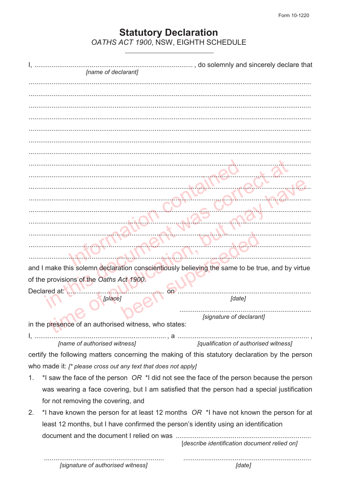# **Statutory Declaration**<br>OATHS ACT 1900, NSW, EIGHTH SCHEDULE

|                                                                                     | [name of declarant]                                            | , do solemnly and sincerely declare that                                                        |  |
|-------------------------------------------------------------------------------------|----------------------------------------------------------------|-------------------------------------------------------------------------------------------------|--|
|                                                                                     |                                                                |                                                                                                 |  |
|                                                                                     |                                                                |                                                                                                 |  |
|                                                                                     |                                                                |                                                                                                 |  |
|                                                                                     |                                                                |                                                                                                 |  |
|                                                                                     |                                                                |                                                                                                 |  |
|                                                                                     |                                                                |                                                                                                 |  |
|                                                                                     |                                                                |                                                                                                 |  |
|                                                                                     |                                                                |                                                                                                 |  |
|                                                                                     |                                                                |                                                                                                 |  |
|                                                                                     |                                                                |                                                                                                 |  |
|                                                                                     |                                                                |                                                                                                 |  |
|                                                                                     |                                                                |                                                                                                 |  |
|                                                                                     |                                                                |                                                                                                 |  |
|                                                                                     |                                                                |                                                                                                 |  |
|                                                                                     |                                                                |                                                                                                 |  |
|                                                                                     |                                                                |                                                                                                 |  |
|                                                                                     |                                                                |                                                                                                 |  |
|                                                                                     |                                                                |                                                                                                 |  |
|                                                                                     |                                                                | and I make this solemn declaration conscientiously believing the same to be true, and by virtue |  |
| of the provisions of the Oaths Act 1900.                                            |                                                                |                                                                                                 |  |
| Declared at:                                                                        | [place]                                                        | [date]                                                                                          |  |
|                                                                                     |                                                                |                                                                                                 |  |
|                                                                                     |                                                                | [signature of declarant]                                                                        |  |
|                                                                                     | in the presence of an authorised witness, who states:          |                                                                                                 |  |
|                                                                                     |                                                                |                                                                                                 |  |
|                                                                                     |                                                                | [name of authorised witness] [qualification of authorised witness]                              |  |
|                                                                                     |                                                                | certify the following matters concerning the making of this statutory declaration by the person |  |
|                                                                                     | who made it: [* please cross out any text that does not apply] |                                                                                                 |  |
| 1.                                                                                  |                                                                | *I saw the face of the person $OR$ *I did not see the face of the person because the person     |  |
|                                                                                     |                                                                | was wearing a face covering, but I am satisfied that the person had a special justification     |  |
|                                                                                     | for not removing the covering, and                             |                                                                                                 |  |
| 2.                                                                                  |                                                                | *I have known the person for at least 12 months $OR$ *I have not known the person for at        |  |
| least 12 months, but I have confirmed the person's identity using an identification |                                                                |                                                                                                 |  |
|                                                                                     |                                                                |                                                                                                 |  |
|                                                                                     |                                                                | [describe identification document relied on]                                                    |  |
|                                                                                     |                                                                |                                                                                                 |  |